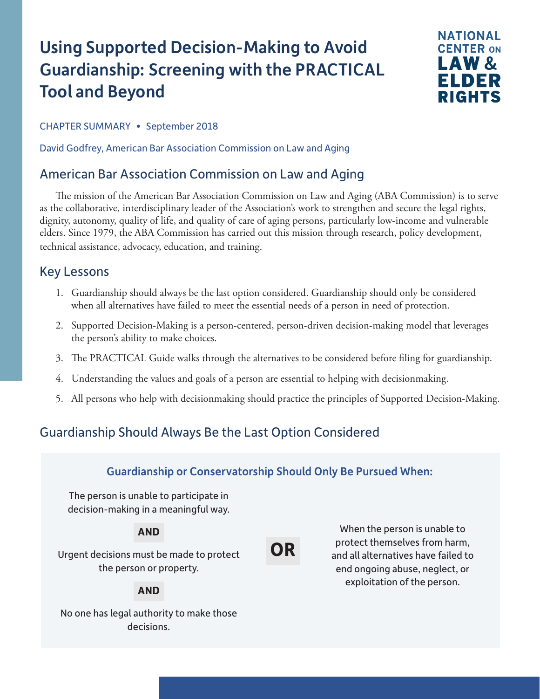# Using Supported Decision-Making to Avoid Guardianship: Screening with the PRACTICAL Tool and Beyond



CHAPTER SUMMARY • September 2018

David Godfrey, American Bar Association Commission on Law and Aging

# American Bar Association Commission on Law and Aging

The mission of the American Bar Association Commission on Law and Aging (ABA Commission) is to serve as the collaborative, interdisciplinary leader of the Association's work to strengthen and secure the legal rights, dignity, autonomy, quality of life, and quality of care of aging persons, particularly low-income and vulnerable elders. Since 1979, the ABA Commission has carried out this mission through research, policy development, technical assistance, advocacy, education, and training.

### Key Lessons

- 1. Guardianship should always be the last option considered. Guardianship should only be considered when all alternatives have failed to meet the essential needs of a person in need of protection.
- 2. Supported Decision-Making is a person-centered, person-driven decision-making model that leverages the person's ability to make choices.
- 3. The PRACTICAL Guide walks through the alternatives to be considered before filing for guardianship.
- 4. Understanding the values and goals of a person are essential to helping with decisionmaking.
- 5. All persons who help with decisionmaking should practice the principles of Supported Decision-Making.

# Guardianship Should Always Be the Last Option Considered

### Guardianship or Conservatorship Should Only Be Pursued When:

The person is unable to participate in decision-making in a meaningful way.

### **AND**

**OR**

When the person is unable to protect themselves from harm, and all alternatives have failed to end ongoing abuse, neglect, or exploitation of the person.

Urgent decisions must be made to protect the person or property.

#### **AND**

No one has legal authority to make those decisions.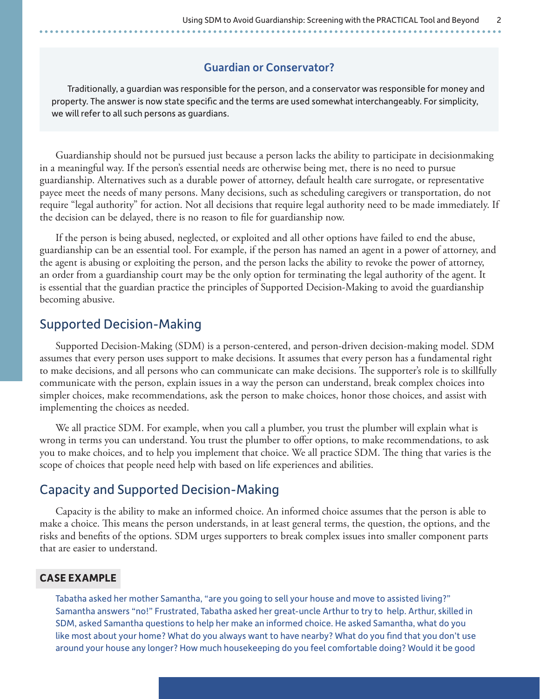#### Guardian or Conservator?

Traditionally, a guardian was responsible for the person, and a conservator was responsible for money and property. The answer is now state specific and the terms are used somewhat interchangeably. For simplicity, we will refer to all such persons as guardians.

Guardianship should not be pursued just because a person lacks the ability to participate in decisionmaking in a meaningful way. If the person's essential needs are otherwise being met, there is no need to pursue guardianship. Alternatives such as a durable power of attorney, default health care surrogate, or representative payee meet the needs of many persons. Many decisions, such as scheduling caregivers or transportation, do not require "legal authority" for action. Not all decisions that require legal authority need to be made immediately. If the decision can be delayed, there is no reason to file for guardianship now.

If the person is being abused, neglected, or exploited and all other options have failed to end the abuse, guardianship can be an essential tool. For example, if the person has named an agent in a power of attorney, and the agent is abusing or exploiting the person, and the person lacks the ability to revoke the power of attorney, an order from a guardianship court may be the only option for terminating the legal authority of the agent. It is essential that the guardian practice the principles of Supported Decision-Making to avoid the guardianship becoming abusive.

#### Supported Decision-Making

Supported Decision-Making (SDM) is a person-centered, and person-driven decision-making model. SDM assumes that every person uses support to make decisions. It assumes that every person has a fundamental right to make decisions, and all persons who can communicate can make decisions. The supporter's role is to skillfully communicate with the person, explain issues in a way the person can understand, break complex choices into simpler choices, make recommendations, ask the person to make choices, honor those choices, and assist with implementing the choices as needed.

We all practice SDM. For example, when you call a plumber, you trust the plumber will explain what is wrong in terms you can understand. You trust the plumber to offer options, to make recommendations, to ask you to make choices, and to help you implement that choice. We all practice SDM. The thing that varies is the scope of choices that people need help with based on life experiences and abilities.

### Capacity and Supported Decision-Making

Capacity is the ability to make an informed choice. An informed choice assumes that the person is able to make a choice. This means the person understands, in at least general terms, the question, the options, and the risks and benefits of the options. SDM urges supporters to break complex issues into smaller component parts that are easier to understand.

#### **CASE EXAMPLE**

Tabatha asked her mother Samantha, "are you going to sell your house and move to assisted living?" Samantha answers "no!" Frustrated, Tabatha asked her great-uncle Arthur to try to help. Arthur, skilled in SDM, asked Samantha questions to help her make an informed choice. He asked Samantha, what do you like most about your home? What do you always want to have nearby? What do you find that you don't use around your house any longer? How much housekeeping do you feel comfortable doing? Would it be good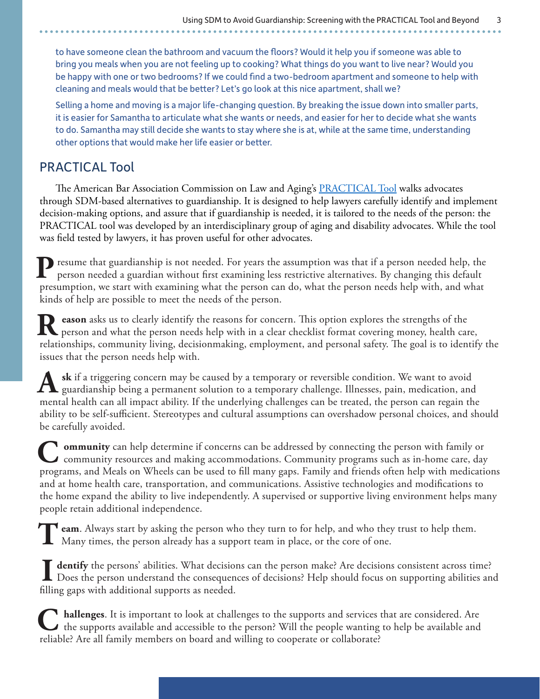to have someone clean the bathroom and vacuum the floors? Would it help you if someone was able to bring you meals when you are not feeling up to cooking? What things do you want to live near? Would you be happy with one or two bedrooms? If we could find a two-bedroom apartment and someone to help with cleaning and meals would that be better? Let's go look at this nice apartment, shall we?

Selling a home and moving is a major life-changing question. By breaking the issue down into smaller parts, it is easier for Samantha to articulate what she wants or needs, and easier for her to decide what she wants to do. Samantha may still decide she wants to stay where she is at, while at the same time, understanding other options that would make her life easier or better.

### PRACTICAL Tool

The American Bar Association Commission on Law and Aging's **PRACTICAL Tool** walks advocates through SDM-based alternatives to guardianship. It is designed to help lawyers carefully identify and implement decision-making options, and assure that if guardianship is needed, it is tailored to the needs of the person: the PRACTICAL tool was developed by an interdisciplinary group of aging and disability advocates. While the tool was field tested by lawyers, it has proven useful for other advocates.

**P** resume that guardianship is not needed. For years the assumption was that if a person needed help, the person needed a guardian without first examining less restrictive alternatives. By changing this default presumption, we start with examining what the person can do, what the person needs help with, and what kinds of help are possible to meet the needs of the person.

**R** eason asks us to clearly identify the reasons for concern. This option explores the strengths of the person and what the person needs help with in a clear checklist format covering money, health care, relationships, community living, decisionmaking, employment, and personal safety. The goal is to identify the issues that the person needs help with.

**sk** if a triggering concern may be caused by a temporary or reversible condition. We want to avoid  $\Lambda$  guardianship being a permanent solution to a temporary challenge. Illnesses, pain, medication, and mental health can all impact ability. If the underlying challenges can be treated, the person can regain the ability to be self-sufficient. Stereotypes and cultural assumptions can overshadow personal choices, and should be carefully avoided.

**C** ommunity can help determine if concerns can be addressed by connecting the person with family or community resources and making accommodations. Community programs such as in-home care, day programs, and Meals on Wheels can be used to fill many gaps. Family and friends often help with medications and at home health care, transportation, and communications. Assistive technologies and modifications to the home expand the ability to live independently. A supervised or supportive living environment helps many people retain additional independence.

**T** eam. Always start by asking the person who they turn to for help, and who they trust to help them. **L** Many times, the person already has a support team in place, or the core of one.

 **I dentify** the persons' abilities. What decisions can the person make? Are decisions consistent across time? Does the person understand the consequences of decisions? Help should focus on supporting abilities and filling gaps with additional supports as needed.

**C** hallenges. It is important to look at challenges to the supports and services that are considered. Are the supports available and accessible to the person? Will the people wanting to help be available and reliable? Are all family members on board and willing to cooperate or collaborate?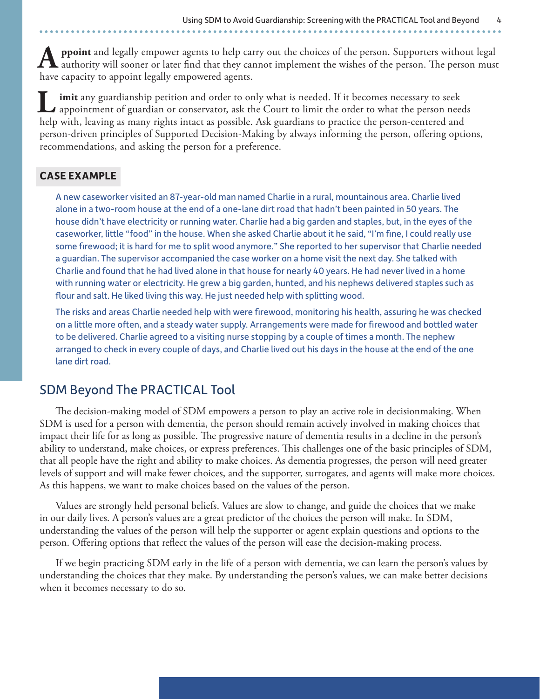**ppoint** and legally empower agents to help carry out the choices of the person. Supporters without legal authority will sooner or later find that they cannot implement the wishes of the person. The person must have capacity to appoint legally empowered agents.

**I** imit any guardianship petition and order to only what is needed. If it becomes necessary to seek appointment of guardian or conservator, ask the Court to limit the order to what the person needs help with, leaving as many rights intact as possible. Ask guardians to practice the person-centered and person-driven principles of Supported Decision-Making by always informing the person, offering options, recommendations, and asking the person for a preference.

#### **CASE EXAMPLE**

A new caseworker visited an 87-year-old man named Charlie in a rural, mountainous area. Charlie lived alone in a two-room house at the end of a one-lane dirt road that hadn't been painted in 50 years. The house didn't have electricity or running water. Charlie had a big garden and staples, but, in the eyes of the caseworker, little "food" in the house. When she asked Charlie about it he said, "I'm fine, I could really use some firewood; it is hard for me to split wood anymore." She reported to her supervisor that Charlie needed a guardian. The supervisor accompanied the case worker on a home visit the next day. She talked with Charlie and found that he had lived alone in that house for nearly 40 years. He had never lived in a home with running water or electricity. He grew a big garden, hunted, and his nephews delivered staples such as flour and salt. He liked living this way. He just needed help with splitting wood.

The risks and areas Charlie needed help with were firewood, monitoring his health, assuring he was checked on a little more often, and a steady water supply. Arrangements were made for firewood and bottled water to be delivered. Charlie agreed to a visiting nurse stopping by a couple of times a month. The nephew arranged to check in every couple of days, and Charlie lived out his days in the house at the end of the one lane dirt road.

# SDM Beyond The PRACTICAL Tool

The decision-making model of SDM empowers a person to play an active role in decisionmaking. When SDM is used for a person with dementia, the person should remain actively involved in making choices that impact their life for as long as possible. The progressive nature of dementia results in a decline in the person's ability to understand, make choices, or express preferences. This challenges one of the basic principles of SDM, that all people have the right and ability to make choices. As dementia progresses, the person will need greater levels of support and will make fewer choices, and the supporter, surrogates, and agents will make more choices. As this happens, we want to make choices based on the values of the person.

Values are strongly held personal beliefs. Values are slow to change, and guide the choices that we make in our daily lives. A person's values are a great predictor of the choices the person will make. In SDM, understanding the values of the person will help the supporter or agent explain questions and options to the person. Offering options that reflect the values of the person will ease the decision-making process.

If we begin practicing SDM early in the life of a person with dementia, we can learn the person's values by understanding the choices that they make. By understanding the person's values, we can make better decisions when it becomes necessary to do so.